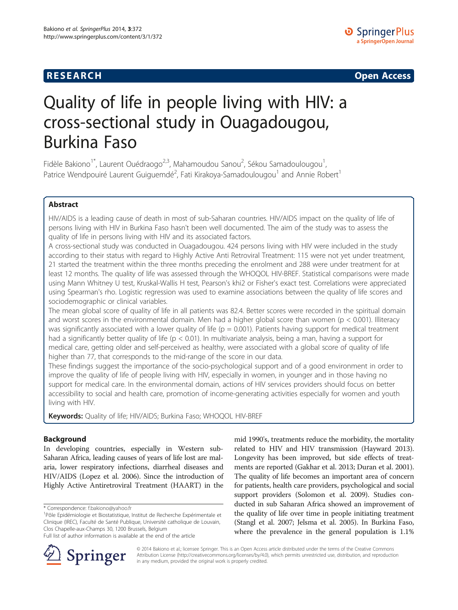**RESEARCH RESEARCH CONSUMING ACCESS** 

# Quality of life in people living with HIV: a cross-sectional study in Ouagadougou, Burkina Faso

Fidèle Bakiono<sup>1\*</sup>, Laurent Ouédraogo<sup>2,3</sup>, Mahamoudou Sanou<sup>2</sup>, Sékou Samadoulougou<sup>1</sup> , Patrice Wendpouiré Laurent Guiguemdé<sup>2</sup>, Fati Kirakoya-Samadoulougou<sup>1</sup> and Annie Robert<sup>1</sup>

# Abstract

HIV/AIDS is a leading cause of death in most of sub-Saharan countries. HIV/AIDS impact on the quality of life of persons living with HIV in Burkina Faso hasn't been well documented. The aim of the study was to assess the quality of life in persons living with HIV and its associated factors.

A cross-sectional study was conducted in Ouagadougou. 424 persons living with HIV were included in the study according to their status with regard to Highly Active Anti Retroviral Treatment: 115 were not yet under treatment, 21 started the treatment within the three months preceding the enrolment and 288 were under treatment for at least 12 months. The quality of life was assessed through the WHOQOL HIV-BREF. Statistical comparisons were made using Mann Whitney U test, Kruskal-Wallis H test, Pearson's khi2 or Fisher's exact test. Correlations were appreciated using Spearman's rho. Logistic regression was used to examine associations between the quality of life scores and sociodemographic or clinical variables.

The mean global score of quality of life in all patients was 82.4. Better scores were recorded in the spiritual domain and worst scores in the environmental domain. Men had a higher global score than women ( $p < 0.001$ ). Illiteracy was significantly associated with a lower quality of life ( $p = 0.001$ ). Patients having support for medical treatment had a significantly better quality of life ( $p < 0.01$ ). In multivariate analysis, being a man, having a support for medical care, getting older and self-perceived as healthy, were associated with a global score of quality of life higher than 77, that corresponds to the mid-range of the score in our data.

These findings suggest the importance of the socio-psychological support and of a good environment in order to improve the quality of life of people living with HIV, especially in women, in younger and in those having no support for medical care. In the environmental domain, actions of HIV services providers should focus on better accessibility to social and health care, promotion of income-generating activities especially for women and youth living with HIV.

Keywords: Quality of life; HIV/AIDS; Burkina Faso; WHOQOL HIV-BREF

# Background

In developing countries, especially in Western sub-Saharan Africa, leading causes of years of life lost are malaria, lower respiratory infections, diarrheal diseases and HIV/AIDS (Lopez et al. [2006\)](#page-9-0). Since the introduction of Highly Active Antiretroviral Treatment (HAART) in the

\* Correspondence: [f.bakiono@yahoo.fr](mailto:f.bakiono@yahoo.fr) <sup>1</sup>

mid 1990's, treatments reduce the morbidity, the mortality related to HIV and HIV transmission (Hayward [2013](#page-9-0)). Longevity has been improved, but side effects of treatments are reported (Gakhar et al. [2013;](#page-9-0) Duran et al. [2001](#page-9-0)). The quality of life becomes an important area of concern for patients, health care providers, psychological and social support providers (Solomon et al. [2009](#page-9-0)). Studies conducted in sub Saharan Africa showed an improvement of the quality of life over time in people initiating treatment (Stangl et al. [2007;](#page-9-0) Jelsma et al. [2005\)](#page-9-0). In Burkina Faso, where the prevalence in the general population is 1.1%



© 2014 Bakiono et al.; licensee Springer. This is an Open Access article distributed under the terms of the Creative Commons Attribution License [\(http://creativecommons.org/licenses/by/4.0\)](http://creativecommons.org/licenses/by/4.0), which permits unrestricted use, distribution, and reproduction in any medium, provided the original work is properly credited.

 $1$ Pôle Epidémiologie et Biostatistique, Institut de Recherche Expérimentale et Clinique (IREC), Faculté de Santé Publique, Université catholique de Louvain, Clos Chapelle-aux-Champs 30, 1200 Brussels, Belgium

Full list of author information is available at the end of the article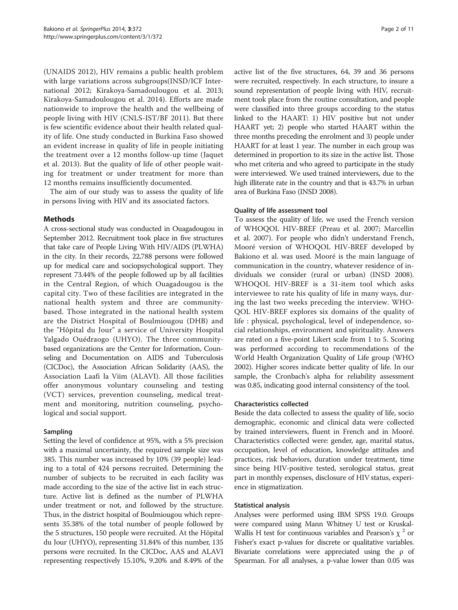(UNAIDS [2012\)](#page-10-0), HIV remains a public health problem with large variations across subgroups(INSD/ICF International [2012;](#page-9-0) Kirakoya-Samadoulougou et al. [2013](#page-9-0); Kirakoya-Samadoulougou et al. [2014\)](#page-9-0). Efforts are made nationwide to improve the health and the wellbeing of people living with HIV (CNLS-IST/BF [2011](#page-9-0)). But there is few scientific evidence about their health related quality of life. One study conducted in Burkina Faso showed an evident increase in quality of life in people initiating the treatment over a 12 months follow-up time (Jaquet et al. [2013](#page-9-0)). But the quality of life of other people waiting for treatment or under treatment for more than 12 months remains insufficiently documented.

The aim of our study was to assess the quality of life in persons living with HIV and its associated factors.

### Methods

A cross-sectional study was conducted in Ouagadougou in September 2012. Recruitment took place in five structures that take care of People Living With HIV/AIDS (PLWHA) in the city. In their records, 22,788 persons were followed up for medical care and sociopsychological support. They represent 73.44% of the people followed up by all facilities in the Central Region, of which Ouagadougou is the capital city. Two of these facilities are integrated in the national health system and three are communitybased. Those integrated in the national health system are the District Hospital of Boulmiougou (DHB) and the "Hôpital du Jour" a service of University Hospital Yalgado Ouédraogo (UHYO). The three communitybased organizations are the Center for Information, Counseling and Documentation on AIDS and Tuberculosis (CICDoc), the Association African Solidarity (AAS), the Association Laafi la Viim (ALAVI). All those facilities offer anonymous voluntary counseling and testing (VCT) services, prevention counseling, medical treatment and monitoring, nutrition counseling, psychological and social support.

# Sampling

Setting the level of confidence at 95%, with a 5% precision with a maximal uncertainty, the required sample size was 385. This number was increased by 10% (39 people) leading to a total of 424 persons recruited. Determining the number of subjects to be recruited in each facility was made according to the size of the active list in each structure. Active list is defined as the number of PLWHA under treatment or not, and followed by the structure. Thus, in the district hospital of Boulmiougou which represents 35.38% of the total number of people followed by the 5 structures, 150 people were recruited. At the Hôpital du Jour (UHYO), representing 31.84% of this number, 135 persons were recruited. In the CICDoc, AAS and ALAVI representing respectively 15.10%, 9.20% and 8.49% of the

active list of the five structures, 64, 39 and 36 persons were recruited, respectively. In each structure, to insure a sound representation of people living with HIV, recruitment took place from the routine consultation, and people were classified into three groups according to the status linked to the HAART: 1) HIV positive but not under HAART yet; 2) people who started HAART within the three months preceding the enrolment and 3) people under HAART for at least 1 year. The number in each group was determined in proportion to its size in the active list. Those who met criteria and who agreed to participate in the study were interviewed. We used trained interviewers, due to the high illiterate rate in the country and that is 43.7% in urban area of Burkina Faso (INSD [2008](#page-9-0)).

### Quality of life assessment tool

To assess the quality of life, we used the French version of WHOQOL HIV-BREF (Preau et al. [2007;](#page-9-0) Marcellin et al. [2007\)](#page-9-0). For people who didn't understand French, Mooré version of WHOQOL HIV-BREF developed by Bakiono et al. was used. Mooré is the main language of communication in the country, whatever residence of individuals we consider (rural or urban) (INSD [2008](#page-9-0)). WHOQOL HIV-BREF is a 31-item tool which asks interviewee to rate his quality of life in many ways, during the last two weeks preceding the interview. WHO-QOL HIV-BREF explores six domains of the quality of life : physical, psychological, level of independence, social relationships, environment and spirituality. Answers are rated on a five-point Likert scale from 1 to 5. Scoring was performed according to recommendations of the World Health Organization Quality of Life group (WHO [2002](#page-10-0)). Higher scores indicate better quality of life. In our sample, the Cronbach's alpha for reliability assessment was 0.85, indicating good internal consistency of the tool.

#### Characteristics collected

Beside the data collected to assess the quality of life, socio demographic, economic and clinical data were collected by trained interviewers, fluent in French and in Mooré. Characteristics collected were: gender, age, marital status, occupation, level of education, knowledge attitudes and practices, risk behaviors, duration under treatment, time since being HIV-positive tested, serological status, great part in monthly expenses, disclosure of HIV status, experience in stigmatization.

#### Statistical analysis

Analyses were performed using IBM SPSS 19.0. Groups were compared using Mann Whitney U test or Kruskal-Wallis H test for continuous variables and Pearson's  $\chi^2$  or Fisher's exact p-values for discrete or qualitative variables. Bivariate correlations were appreciated using the  $\rho$  of Spearman. For all analyses, a p-value lower than 0.05 was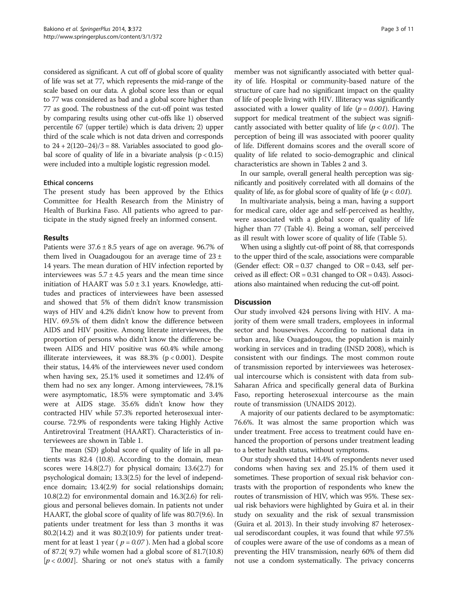considered as significant. A cut off of global score of quality of life was set at 77, which represents the mid-range of the scale based on our data. A global score less than or equal to 77 was considered as bad and a global score higher than 77 as good. The robustness of the cut-off point was tested by comparing results using other cut-offs like 1) observed percentile 67 (upper tertile) which is data driven; 2) upper third of the scale which is not data driven and corresponds to  $24 + 2(120-24)/3 = 88$ . Variables associated to good global score of quality of life in a bivariate analysis  $(p < 0.15)$ were included into a multiple logistic regression model.

# Ethical concerns

The present study has been approved by the Ethics Committee for Health Research from the Ministry of Health of Burkina Faso. All patients who agreed to participate in the study signed freely an informed consent.

### Results

Patients were  $37.6 \pm 8.5$  years of age on average. 96.7% of them lived in Ouagadougou for an average time of  $23 \pm$ 14 years. The mean duration of HIV infection reported by interviewees was  $5.7 \pm 4.5$  years and the mean time since initiation of HAART was  $5.0 \pm 3.1$  years. Knowledge, attitudes and practices of interviewees have been assessed and showed that 5% of them didn't know transmission ways of HIV and 4.2% didn't know how to prevent from HIV. 69.5% of them didn't know the difference between AIDS and HIV positive. Among literate interviewees, the proportion of persons who didn't know the difference between AIDS and HIV positive was 60.4% while among illiterate interviewees, it was  $88.3\%$  (p < 0.001). Despite their status, 14.4% of the interviewees never used condom when having sex, 25.1% used it sometimes and 12.4% of them had no sex any longer. Among interviewees, 78.1% were asymptomatic, 18.5% were symptomatic and 3.4% were at AIDS stage. 35.6% didn't know how they contracted HIV while 57.3% reported heterosexual intercourse. 72.9% of respondents were taking Highly Active Antiretroviral Treatment (HAART). Characteristics of interviewees are shown in Table [1.](#page-3-0)

The mean (SD) global score of quality of life in all patients was 82.4 (10.8). According to the domain, mean scores were 14.8(2.7) for physical domain; 13.6(2.7) for psychological domain; 13.3(2.5) for the level of independence domain; 13.4(2.9) for social relationships domain; 10.8(2.2) for environmental domain and 16.3(2.6) for religious and personal believes domain. In patients not under HAART, the global score of quality of life was 80.7(9.6). In patients under treatment for less than 3 months it was  $80.2(14.2)$  and it was  $80.2(10.9)$  for patients under treatment for at least 1 year ( $p = 0.07$ ). Men had a global score of 87.2( 9.7) while women had a global score of 81.7(10.8)  $[p < 0.001]$ . Sharing or not one's status with a family

member was not significantly associated with better quality of life. Hospital or community-based nature of the structure of care had no significant impact on the quality of life of people living with HIV. Illiteracy was significantly associated with a lower quality of life ( $p = 0.001$ ). Having support for medical treatment of the subject was significantly associated with better quality of life ( $p < 0.01$ ). The perception of being ill was associated with poorer quality of life. Different domains scores and the overall score of quality of life related to socio-demographic and clinical characteristics are shown in Tables [2](#page-4-0) and [3](#page-6-0).

In our sample, overall general health perception was significantly and positively correlated with all domains of the quality of life, as for global score of quality of life ( $p < 0.01$ ).

In multivariate analysis, being a man, having a support for medical care, older age and self-perceived as healthy, were associated with a global score of quality of life higher than 77 (Table [4](#page-7-0)). Being a woman, self perceived as ill result with lower score of quality of life (Table [5\)](#page-8-0).

When using a slightly cut-off point of 88, that corresponds to the upper third of the scale, associations were comparable (Gender effect:  $OR = 0.37$  changed to  $OR = 0.43$ , self perceived as ill effect:  $OR = 0.31$  changed to  $OR = 0.43$ ). Associations also maintained when reducing the cut-off point.

#### **Discussion**

Our study involved 424 persons living with HIV. A majority of them were small traders, employees in informal sector and housewives. According to national data in urban area, like Ouagadougou, the population is mainly working in services and in trading (INSD [2008\)](#page-9-0), which is consistent with our findings. The most common route of transmission reported by interviewees was heterosexual intercourse which is consistent with data from sub-Saharan Africa and specifically general data of Burkina Faso, reporting heterosexual intercourse as the main route of transmission (UNAIDS [2012\)](#page-10-0).

A majority of our patients declared to be asymptomatic: 76.6%. It was almost the same proportion which was under treatment. Free access to treatment could have enhanced the proportion of persons under treatment leading to a better health status, without symptoms.

Our study showed that 14.4% of respondents never used condoms when having sex and 25.1% of them used it sometimes. These proportion of sexual risk behavior contrasts with the proportion of respondents who knew the routes of transmission of HIV, which was 95%. These sexual risk behaviors were highlighted by Guira et al. in their study on sexuality and the risk of sexual transmission (Guira et al. [2013](#page-9-0)). In their study involving 87 heterosexual serodiscordant couples, it was found that while 97.5% of couples were aware of the use of condoms as a mean of preventing the HIV transmission, nearly 60% of them did not use a condom systematically. The privacy concerns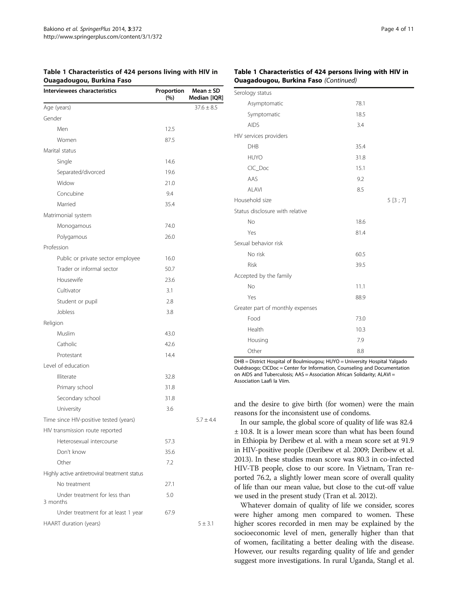<span id="page-3-0"></span>

| Table 1 Characteristics of 424 persons living with HIV in |  |  |  |
|-----------------------------------------------------------|--|--|--|
| <b>Ouagadougou, Burkina Faso</b>                          |  |  |  |

#### Table 1 Characteristics of 424 persons living with HIV in Ouagadougou, Burkina Faso (Continued)

| Interviewees characteristics                  | Proportion<br>(%) | Mean $\pm$ SD<br>Median [IQR] |
|-----------------------------------------------|-------------------|-------------------------------|
| Age (years)                                   |                   | $37.6 \pm 8.5$                |
| Gender                                        |                   |                               |
| Men                                           | 12.5              |                               |
| Women                                         | 87.5              |                               |
| Marital status                                |                   |                               |
| Single                                        | 14.6              |                               |
| Separated/divorced                            | 19.6              |                               |
| Widow                                         | 21.0              |                               |
| Concubine                                     | 9.4               |                               |
| Married                                       | 35.4              |                               |
| Matrimonial system                            |                   |                               |
| Monogamous                                    | 74.0              |                               |
| Polygamous                                    | 26.0              |                               |
| Profession                                    |                   |                               |
| Public or private sector employee             | 16.0              |                               |
| Trader or informal sector                     | 50.7              |                               |
| Housewife                                     | 23.6              |                               |
| Cultivator                                    | 3.1               |                               |
| Student or pupil                              | 2.8               |                               |
| Jobless                                       | 3.8               |                               |
| Religion                                      |                   |                               |
| Muslim                                        | 43.0              |                               |
| Catholic                                      | 42.6              |                               |
| Protestant                                    | 14.4              |                               |
| Level of education                            |                   |                               |
| <b>Illiterate</b>                             | 32.8              |                               |
| Primary school                                | 31.8              |                               |
| Secondary school                              | 31.8              |                               |
| University                                    | 3.6               |                               |
| Time since HIV-positive tested (years)        |                   | $5.7 \pm 4.4$                 |
| HIV transmission route reported               |                   |                               |
| Heterosexual intercourse                      | 57.3              |                               |
| Don't know                                    | 35.6              |                               |
| Other                                         | 7.2               |                               |
| Highly active antiretroviral treatment status |                   |                               |
| No treatment                                  | 27.1              |                               |
| Under treatment for less than<br>3 months     | 5.0               |                               |
| Under treatment for at least 1 year           | 67.9              |                               |
| HAART duration (years)                        |                   | $5 \pm 3.1$                   |

| Serology status                  |      |        |
|----------------------------------|------|--------|
| Asymptomatic                     | 78.1 |        |
| Symptomatic                      | 18.5 |        |
| <b>AIDS</b>                      | 3.4  |        |
| HIV services providers           |      |        |
| <b>DHB</b>                       | 35.4 |        |
| <b>HUYO</b>                      | 31.8 |        |
| CIC_Doc                          | 15.1 |        |
| AAS                              | 9.2  |        |
| <b>ALAVI</b>                     | 8.5  |        |
| Household size                   |      | 5[3;7] |
| Status disclosure with relative  |      |        |
| <b>No</b>                        | 18.6 |        |
| Yes                              | 81.4 |        |
| Sexual behavior risk             |      |        |
| No risk                          | 60.5 |        |
| <b>Risk</b>                      | 39.5 |        |
| Accepted by the family           |      |        |
| <b>No</b>                        | 11.1 |        |
| Yes                              | 88.9 |        |
| Greater part of monthly expenses |      |        |
| Food                             | 73.0 |        |
| Health                           | 10.3 |        |
| Housing                          | 7.9  |        |
| Other                            | 8.8  |        |

DHB = District Hospital of Boulmiougou; HUYO = University Hospital Yalgado Ouédraogo; CICDoc = Center for Information, Counseling and Documentation on AIDS and Tuberculosis; AAS = Association African Solidarity; ALAVI = Association Laafi la Viim.

and the desire to give birth (for women) were the main reasons for the inconsistent use of condoms.

In our sample, the global score of quality of life was 82.4 ± 10.8. It is a lower mean score than what has been found in Ethiopia by Deribew et al. with a mean score set at 91.9 in HIV-positive people (Deribew et al. [2009](#page-9-0); Deribew et al. [2013\)](#page-9-0). In these studies mean score was 80.3 in co-infected HIV-TB people, close to our score. In Vietnam, Tran reported 76.2, a slightly lower mean score of overall quality of life than our mean value, but close to the cut-off value we used in the present study (Tran et al. [2012](#page-10-0)).

Whatever domain of quality of life we consider, scores were higher among men compared to women. These higher scores recorded in men may be explained by the socioeconomic level of men, generally higher than that of women, facilitating a better dealing with the disease. However, our results regarding quality of life and gender suggest more investigations. In rural Uganda, Stangl et al.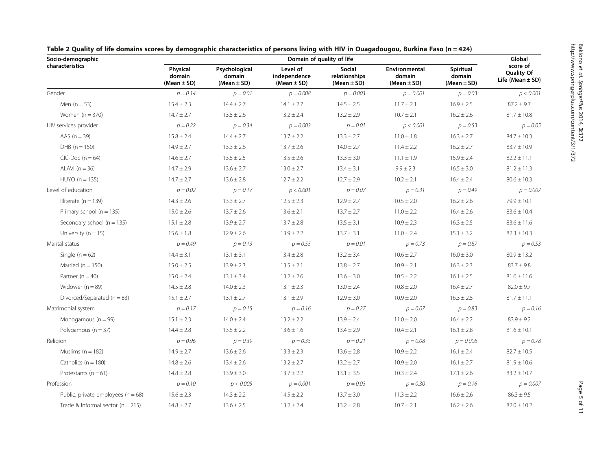| Socio-demographic                     | Domain of quality of life             |                                            |                                             |                                            |                                            |                                        |                                                       |
|---------------------------------------|---------------------------------------|--------------------------------------------|---------------------------------------------|--------------------------------------------|--------------------------------------------|----------------------------------------|-------------------------------------------------------|
| characteristics                       | Physical<br>domain<br>(Mean $\pm$ SD) | Psychological<br>domain<br>(Mean $\pm$ SD) | Level of<br>independence<br>(Mean $\pm$ SD) | Social<br>relationships<br>(Mean $\pm$ SD) | Environmental<br>domain<br>(Mean $\pm$ SD) | Spiritual<br>domain<br>(Mean $\pm$ SD) | score of<br><b>Quality Of</b><br>Life (Mean $\pm$ SD) |
| Gender                                | $p = 0.14$                            | $p = 0.01$                                 | $p = 0.008$                                 | $p = 0.003$                                | $p = 0.001$                                | $p = 0.03$                             | p < 0.001                                             |
| Men $(n = 53)$                        | $15.4 \pm 2.3$                        | $14.4 \pm 2.7$                             | $14.1 \pm 2.7$                              | $14.5 \pm 2.5$                             | $11.7 \pm 2.1$                             | $16.9 \pm 2.5$                         | $87.2 \pm 9.7$                                        |
| Women $(n = 370)$                     | $14.7 \pm 2.7$                        | $13.5 \pm 2.6$                             | $13.2 \pm 2.4$                              | $13.2 \pm 2.9$                             | $10.7 \pm 2.1$                             | $16.2 \pm 2.6$                         | $81.7 \pm 10.8$                                       |
| HIV services provider                 | $p = 0.22$                            | $p = 0.34$                                 | $p = 0.003$                                 | $p = 0.01$                                 | p < 0.001                                  | $p = 0.53$                             | $p = 0.05$                                            |
| AAS $(n = 39)$                        | $15.8 \pm 2.4$                        | $14.4 \pm 2.7$                             | $13.7 \pm 2.2$                              | $13.3 \pm 2.7$                             | $11.0 \pm 1.8$                             | $16.3 \pm 2.7$                         | $84.7 \pm 10.3$                                       |
| $DHB (n = 150)$                       | $14.9 \pm 2.7$                        | $13.3 \pm 2.6$                             | $13.7 \pm 2.6$                              | $14.0 \pm 2.7$                             | $11.4 \pm 2.2$                             | $16.2 \pm 2.7$                         | $83.7 \pm 10.9$                                       |
| $CIC-Doc (n = 64)$                    | $14.6 \pm 2.7$                        | $13.5 \pm 2.5$                             | $13.5 \pm 2.6$                              | $13.3 \pm 3.0$                             | $11.1 \pm 1.9$                             | $15.9 \pm 2.4$                         | $82.2 \pm 11.1$                                       |
| ALAVI $(n = 36)$                      | $14.7 \pm 2.9$                        | $13.6 \pm 2.7$                             | $13.0 \pm 2.7$                              | $13.4 \pm 3.1$                             | $9.9 \pm 2.3$                              | $16.5 \pm 3.0$                         | $81.2 \pm 11.3$                                       |
| $HUVO(n = 135)$                       | $14.7 \pm 2.7$                        | $13.6 \pm 2.8$                             | $12.7 \pm 2.2$                              | $12.7 \pm 2.9$                             | $10.2 \pm 2.1$                             | $16.4 \pm 2.4$                         | $80.6 \pm 10.3$                                       |
| Level of education                    | $p = 0.02$                            | $p = 0.17$                                 | p < 0.001                                   | $p = 0.07$                                 | $p = 0.31$                                 | $p = 0.49$                             | $p = 0.007$                                           |
| Illiterate $(n = 139)$                | $14.3 \pm 2.6$                        | $13.3 \pm 2.7$                             | $12.5 \pm 2.3$                              | $12.9 \pm 2.7$                             | $10.5 \pm 2.0$                             | $16.2 \pm 2.6$                         | $79.9 \pm 10.1$                                       |
| Primary school ( $n = 135$ )          | $15.0 \pm 2.6$                        | $13.7 \pm 2.6$                             | $13.6 \pm 2.1$                              | $13.7 \pm 2.7$                             | $11.0 \pm 2.2$                             | $16.4 \pm 2.6$                         | $83.6 \pm 10.4$                                       |
| Secondary school ( $n = 135$ )        | $15.1 \pm 2.8$                        | $13.9 \pm 2.7$                             | $13.7 \pm 2.8$                              | $13.5 \pm 3.1$                             | $10.9 \pm 2.3$                             | $16.3 \pm 2.5$                         | $83.6 \pm 11.6$                                       |
| University ( $n = 15$ )               | $15.6 \pm 1.8$                        | $12.9 \pm 2.6$                             | $13.9 \pm 2.2$                              | $13.7 \pm 3.1$                             | $11.0 \pm 2.4$                             | $15.1 \pm 3.2$                         | $82.3 \pm 10.3$                                       |
| Marital status                        | $p = 0.49$                            | $p = 0.13$                                 | $p = 0.55$                                  | $p = 0.01$                                 | $p = 0.73$                                 | $p = 0.87$                             | $p = 0.53$                                            |
| Single $(n = 62)$                     | $14.4 \pm 3.1$                        | $13.1 \pm 3.1$                             | $13.4 \pm 2.8$                              | $13.2 \pm 3.4$                             | $10.6 \pm 2.7$                             | $16.0 \pm 3.0$                         | $80.9 \pm 13.2$                                       |
| Married ( $n = 150$ )                 | $15.0 \pm 2.5$                        | $13.9 \pm 2.3$                             | $13.5 \pm 2.1$                              | $13.8 \pm 2.7$                             | $10.9 \pm 2.1$                             | $16.3 \pm 2.3$                         | $83.7 \pm 9.8$                                        |
| Partner $(n = 40)$                    | $15.0 \pm 2.4$                        | $13.1 \pm 3.4$                             | $13.2 \pm 2.6$                              | $13.6 \pm 3.0$                             | $10.5 \pm 2.2$                             | $16.1 \pm 2.5$                         | $81.6 \pm 11.6$                                       |
| Widower ( $n = 89$ )                  | $14.5 \pm 2.8$                        | $14.0 \pm 2.3$                             | $13.1 \pm 2.3$                              | $13.0 \pm 2.4$                             | $10.8 \pm 2.0$                             | $16.4 \pm 2.7$                         | $82.0 \pm 9.7$                                        |
| Divorced/Separated ( $n = 83$ )       | $15.1 \pm 2.7$                        | $13.1 \pm 2.7$                             | $13.1 \pm 2.9$                              | $12.9 \pm 3.0$                             | $10.9 \pm 2.0$                             | $16.3 \pm 2.5$                         | $81.7 \pm 11.1$                                       |
| Matrimonial system                    | $p = 0.17$                            | $p = 0.15$                                 | $p = 0.16$                                  | $p = 0.27$                                 | $p = 0.07$                                 | $p = 0.83$                             | $p = 0.16$                                            |
| Monogamous $(n = 99)$                 | $15.1 \pm 2.3$                        | $14.0 \pm 2.4$                             | $13.2 \pm 2.2$                              | $13.9 \pm 2.4$                             | $11.0 \pm 2.0$                             | $16.4 \pm 2.2$                         | $83.9 \pm 9.2$                                        |
| Polygamous $(n = 37)$                 | $14.4 \pm 2.8$                        | $13.5 \pm 2.2$                             | $13.6 \pm 1.6$                              | $13.4 \pm 2.9$                             | $10.4 \pm 2.1$                             | $16.1 \pm 2.8$                         | $81.6 \pm 10.1$                                       |
| Religion                              | $p = 0.96$                            | $p = 0.39$                                 | $p = 0.35$                                  | $p = 0.21$                                 | $p = 0.08$                                 | $p = 0.006$                            | $p = 0.78$                                            |
| Muslims ( $n = 182$ )                 | $14.9 \pm 2.7$                        | $13.6 \pm 2.6$                             | $13.3 \pm 2.3$                              | $13.6 \pm 2.8$                             | $10.9 \pm 2.2$                             | $16.1 \pm 2.4$                         | $82.7 \pm 10.5$                                       |
| Catholics ( $n = 180$ )               | $14.8 \pm 2.6$                        | $13.4 \pm 2.6$                             | $13.2 \pm 2.7$                              | $13.2 \pm 2.7$                             | $10.9 \pm 2.0$                             | $16.1 \pm 2.7$                         | $81.9 \pm 10.6$                                       |
| Protestants ( $n = 61$ )              | $14.8 \pm 2.8$                        | $13.9 \pm 3.0$                             | $13.7 \pm 2.2$                              | $13.1 \pm 3.5$                             | $10.3 \pm 2.4$                             | $17.1 \pm 2.6$                         | $83.2 \pm 10.7$                                       |
| Profession                            | $p = 0.10$                            | p < 0.005                                  | $p = 0.001$                                 | $p = 0.03$                                 | $p = 0.30$                                 | $p = 0.16$                             | $p = 0.007$                                           |
| Public, private employees $(n = 68)$  | $15.6 \pm 2.3$                        | $14.3 \pm 2.2$                             | $14.5 \pm 2.2$                              | $13.7 \pm 3.0$                             | $11.3 \pm 2.2$                             | $16.6 \pm 2.6$                         | $86.3 \pm 9.5$                                        |
| Trade & Informal sector ( $n = 215$ ) | $14.8 \pm 2.7$                        | $13.6 \pm 2.5$                             | $13.2 \pm 2.4$                              | $13.2 \pm 2.8$                             | $10.7 \pm 2.1$                             | $16.2 \pm 2.6$                         | $82.0 \pm 10.2$                                       |

<span id="page-4-0"></span>Table 2 Quality of life domains scores by demographic characteristics of persons living with HIV in Ouagadougou, Burkina Faso (n = 424)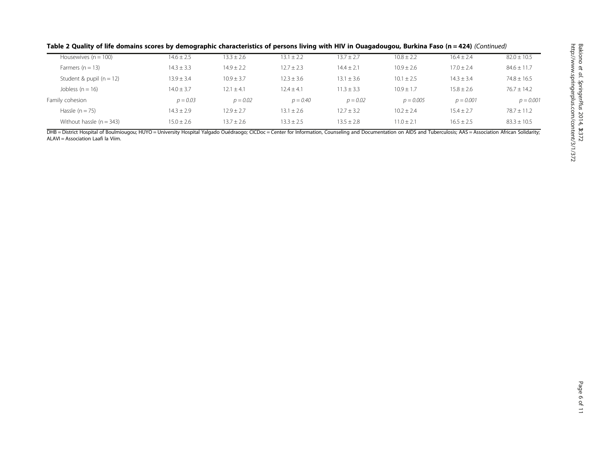|  | Table 2 Quality of life domains scores by demographic characteristics of persons living with HIV in Ouagadougou, Burkina Faso (n = 424) (Continued) |
|--|-----------------------------------------------------------------------------------------------------------------------------------------------------|
|--|-----------------------------------------------------------------------------------------------------------------------------------------------------|

| Housewives $(n = 100)$     | $14.6 \pm 2.5$ | $13.3 \pm 2.6$ | $13.1 \pm 2.2$ | $13.7 \pm 2.7$ | $10.8 \pm 2.2$ | $16.4 \pm 2.4$ | $82.0 \pm 10.5$ |
|----------------------------|----------------|----------------|----------------|----------------|----------------|----------------|-----------------|
| Farmers $(n = 13)$         | $14.3 \pm 3.3$ | $14.9 \pm 2.2$ | $12.7 \pm 2.3$ | $14.4 \pm 2.1$ | $10.9 \pm 2.6$ | $17.0 \pm 2.4$ | $84.6 \pm 11.7$ |
| Student & pupil $(n = 12)$ | $13.9 \pm 3.4$ | $10.9 \pm 3.7$ | $12.3 \pm 3.6$ | $13.1 \pm 3.6$ | $10.1 \pm 2.5$ | $14.3 \pm 3.4$ | $74.8 \pm 16.5$ |
| Jobless $(n = 16)$         | $14.0 \pm 3.7$ | $12.1 \pm 4.1$ | $12.4 \pm 4.1$ | $11.3 \pm 3.3$ | $10.9 \pm 1.7$ | $15.8 \pm 2.6$ | $76.7 \pm 14.2$ |
| Family cohesion            | $p = 0.03$     | $p = 0.02$     | $p = 0.40$     | $p = 0.02$     | $p = 0.005$    | $p = 0.001$    | $p = 0.001$     |
| Hassle $(n = 75)$          | $14.3 \pm 2.9$ | $12.9 \pm 2.7$ | $13.1 \pm 2.6$ | $12.7 \pm 3.2$ | $10.2 \pm 2.4$ | $15.4 \pm 2.7$ | $78.7 \pm 11.2$ |
| Without hassle $(n = 343)$ | $15.0 \pm 2.6$ | $13.7 \pm 2.6$ | $13.3 \pm 2.5$ | $13.5 \pm 2.8$ | $11.0 \pm 2.7$ | $16.5 \pm 2.5$ | $83.3 \pm 10.5$ |

DHB = District Hospital of Boulmiougou; HUYO = University Hospital Yalgado Ouédraogo; CICDoc = Center for Information, Counseling and Documentation on AIDS and Tuberculosis; AAS = Association African Solidarity; ALAVI = Association Laafi la Viim.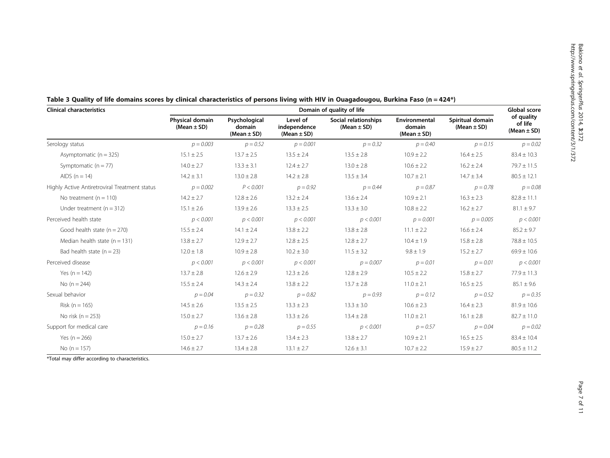| <b>Clinical characteristics</b>               | Domain of quality of life          |                                            |                                             |                                         |                                            |                                     |                                          |
|-----------------------------------------------|------------------------------------|--------------------------------------------|---------------------------------------------|-----------------------------------------|--------------------------------------------|-------------------------------------|------------------------------------------|
|                                               | Physical domain<br>(Mean $\pm$ SD) | Psychological<br>domain<br>$(Mean \pm SD)$ | Level of<br>independence<br>(Mean $\pm$ SD) | Social relationships<br>(Mean $\pm$ SD) | Environmental<br>domain<br>(Mean $\pm$ SD) | Spiritual domain<br>(Mean $\pm$ SD) | of quality<br>of life<br>(Mean $\pm$ SD) |
| Serology status                               | $p = 0.003$                        | $p = 0.52$                                 | $p = 0.001$                                 | $p = 0.32$                              | $p = 0.40$                                 | $p = 0.15$                          | $p = 0.02$                               |
| Asymptomatic $(n = 325)$                      | $15.1 \pm 2.5$                     | $13.7 \pm 2.5$                             | $13.5 \pm 2.4$                              | $13.5 \pm 2.8$                          | $10.9 \pm 2.2$                             | $16.4 \pm 2.5$                      | $83.4 \pm 10.3$                          |
| Symptomatic $(n = 77)$                        | $14.0 \pm 2.7$                     | $13.3 \pm 3.1$                             | $12.4 \pm 2.7$                              | $13.0 \pm 2.8$                          | $10.6 \pm 2.2$                             | $16.2 \pm 2.4$                      | $79.7 \pm 11.5$                          |
| AIDS $(n = 14)$                               | $14.2 \pm 3.1$                     | $13.0 \pm 2.8$                             | $14.2 \pm 2.8$                              | $13.5 \pm 3.4$                          | $10.7 \pm 2.1$                             | $14.7 \pm 3.4$                      | $80.5 \pm 12.1$                          |
| Highly Active Antiretroviral Treatment status | $p = 0.002$                        | P < 0.001                                  | $p = 0.92$                                  | $p = 0.44$                              | $p = 0.87$                                 | $p = 0.78$                          | $p = 0.08$                               |
| No treatment $(n = 110)$                      | $14.2 \pm 2.7$                     | $12.8 \pm 2.6$                             | $13.2 \pm 2.4$                              | $13.6 \pm 2.4$                          | $10.9 \pm 2.1$                             | $16.3 \pm 2.3$                      | $82.8 \pm 11.1$                          |
| Under treatment $(n = 312)$                   | $15.1 \pm 2.6$                     | $13.9 \pm 2.6$                             | $13.3 \pm 2.5$                              | $13.3 \pm 3.0$                          | $10.8 \pm 2.2$                             | $16.2 \pm 2.7$                      | $81.1 \pm 9.7$                           |
| Perceived health state                        | p < 0.001                          | p < 0.001                                  | p < 0.001                                   | p < 0.001                               | $p = 0.001$                                | $p = 0.005$                         | p < 0.001                                |
| Good health state $(n = 270)$                 | $15.5 \pm 2.4$                     | $14.1 \pm 2.4$                             | $13.8 \pm 2.2$                              | $13.8 \pm 2.8$                          | $11.1 \pm 2.2$                             | $16.6 \pm 2.4$                      | $85.2 \pm 9.7$                           |
| Median health state $(n = 131)$               | $13.8 \pm 2.7$                     | $12.9 \pm 2.7$                             | $12.8 \pm 2.5$                              | $12.8 \pm 2.7$                          | $10.4 \pm 1.9$                             | $15.8 \pm 2.8$                      | $78.8 \pm 10.5$                          |
| Bad health state $(n = 23)$                   | $12.0 \pm 1.8$                     | $10.9 \pm 2.8$                             | $10.2 \pm 3.0$                              | $11.5 \pm 3.2$                          | $9.8 \pm 1.9$                              | $15.2 \pm 2.7$                      | $69.9 \pm 10.6$                          |
| Perceived disease                             | p < 0.001                          | p < 0.001                                  | p < 0.001                                   | $p = 0.007$                             | $p = 0.01$                                 | $p = 0.01$                          | p < 0.001                                |
| Yes $(n = 142)$                               | $13.7 \pm 2.8$                     | $12.6 \pm 2.9$                             | $12.3 \pm 2.6$                              | $12.8 \pm 2.9$                          | $10.5 \pm 2.2$                             | $15.8 \pm 2.7$                      | $77.9 \pm 11.3$                          |
| No $(n = 244)$                                | $15.5 \pm 2.4$                     | $14.3 \pm 2.4$                             | $13.8 \pm 2.2$                              | $13.7 \pm 2.8$                          | $11.0 \pm 2.1$                             | $16.5 \pm 2.5$                      | $85.1 \pm 9.6$                           |
| Sexual behavior                               | $p = 0.04$                         | $p = 0.32$                                 | $p = 0.82$                                  | $p = 0.93$                              | $p = 0.12$                                 | $p = 0.52$                          | $p = 0.35$                               |
| Risk ( $n = 165$ )                            | $14.5 \pm 2.6$                     | $13.5 \pm 2.5$                             | $13.3 \pm 2.3$                              | $13.3 \pm 3.0$                          | $10.6 \pm 2.3$                             | $16.4 \pm 2.3$                      | $81.9 \pm 10.6$                          |
| No risk ( $n = 253$ )                         | $15.0 \pm 2.7$                     | $13.6 \pm 2.8$                             | $13.3 \pm 2.6$                              | $13.4 \pm 2.8$                          | $11.0 \pm 2.1$                             | $16.1 \pm 2.8$                      | $82.7 \pm 11.0$                          |
| Support for medical care                      | $p = 0.16$                         | $p = 0.28$                                 | $p = 0.55$                                  | p < 0.001                               | $p = 0.57$                                 | $p = 0.04$                          | $p = 0.02$                               |
| Yes $(n = 266)$                               | $15.0 \pm 2.7$                     | $13.7 \pm 2.6$                             | $13.4 \pm 2.3$                              | $13.8 \pm 2.7$                          | $10.9 \pm 2.1$                             | $16.5 \pm 2.5$                      | $83.4 \pm 10.4$                          |
| No ( $n = 157$ )                              | $14.6 \pm 2.7$                     | $13.4 \pm 2.8$                             | $13.1 \pm 2.7$                              | $12.6 \pm 3.1$                          | $10.7 \pm 2.2$                             | $15.9 \pm 2.7$                      | $80.5 \pm 11.2$                          |

<span id="page-6-0"></span>

| Table 3 Quality of life domains scores by clinical characteristics of persons living with HIV in Ouagadougou, Burkina Faso (n = 424*) |  |  |  |
|---------------------------------------------------------------------------------------------------------------------------------------|--|--|--|
|---------------------------------------------------------------------------------------------------------------------------------------|--|--|--|

\*Total may differ according to characteristics.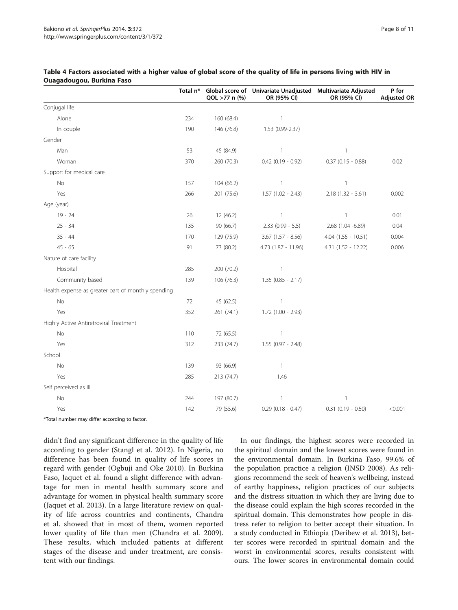|                                                    | Total n* | QOL >77 n (%) | Global score of Univariate Unadjusted Multivariate Adjusted<br>OR (95% CI) | OR (95% CI)             | P for<br><b>Adjusted OR</b> |
|----------------------------------------------------|----------|---------------|----------------------------------------------------------------------------|-------------------------|-----------------------------|
| Conjugal life                                      |          |               |                                                                            |                         |                             |
| Alone                                              | 234      | 160 (68.4)    | $\overline{1}$                                                             |                         |                             |
| In couple                                          | 190      | 146 (76.8)    | 1.53 (0.99-2.37)                                                           |                         |                             |
| Gender                                             |          |               |                                                                            |                         |                             |
| Man                                                | 53       | 45 (84.9)     | $\mathbf{1}$                                                               | $\mathbf{1}$            |                             |
| Woman                                              | 370      | 260 (70.3)    | $0.42$ (0.19 - 0.92)                                                       | $0.37(0.15 - 0.88)$     | 0.02                        |
| Support for medical care                           |          |               |                                                                            |                         |                             |
| No                                                 | 157      | 104 (66.2)    | $\mathbf{1}$                                                               | $\mathbf{1}$            |                             |
| Yes                                                | 266      | 201 (75.6)    | $1.57(1.02 - 2.43)$                                                        | $2.18(1.32 - 3.61)$     | 0.002                       |
| Age (year)                                         |          |               |                                                                            |                         |                             |
| $19 - 24$                                          | 26       | 12 (46.2)     | $\mathbf{1}$                                                               | $\mathbf{1}$            | 0.01                        |
| $25 - 34$                                          | 135      | 90 (66.7)     | $2.33(0.99 - 5.5)$                                                         | 2.68 (1.04 -6.89)       | 0.04                        |
| $35 - 44$                                          | 170      | 129 (75.9)    | $3.67$ (1.57 - 8.56)                                                       | $4.04$ $(1.55 - 10.51)$ | 0.004                       |
| $45 - 65$                                          | 91       | 73 (80.2)     | 4.73 (1.87 - 11.96)                                                        | $4.31(1.52 - 12.22)$    | 0.006                       |
| Nature of care facility                            |          |               |                                                                            |                         |                             |
| Hospital                                           | 285      | 200 (70.2)    | $\overline{\phantom{a}}$                                                   |                         |                             |
| Community based                                    | 139      | 106 (76.3)    | $1.35(0.85 - 2.17)$                                                        |                         |                             |
| Health expense as greater part of monthly spending |          |               |                                                                            |                         |                             |
| No                                                 | 72       | 45 (62.5)     | 1                                                                          |                         |                             |
| Yes                                                | 352      | 261 (74.1)    | $1.72$ $(1.00 - 2.93)$                                                     |                         |                             |
| Highly Active Antiretroviral Treatment             |          |               |                                                                            |                         |                             |
| No                                                 | 110      | 72 (65.5)     | $\mathbf{1}$                                                               |                         |                             |
| Yes                                                | 312      | 233 (74.7)    | $1.55(0.97 - 2.48)$                                                        |                         |                             |
| School                                             |          |               |                                                                            |                         |                             |
| No                                                 | 139      | 93 (66.9)     | $\mathbf{1}$                                                               |                         |                             |
| Yes                                                | 285      | 213 (74.7)    | 1.46                                                                       |                         |                             |
| Self perceived as ill                              |          |               |                                                                            |                         |                             |
| No                                                 | 244      | 197 (80.7)    | $\mathbf{1}$                                                               | $\overline{1}$          |                             |
| Yes                                                | 142      | 79 (55.6)     | $0.29$ (0.18 - 0.47)                                                       | $0.31$ (0.19 - 0.50)    | < 0.001                     |

## <span id="page-7-0"></span>Table 4 Factors associated with a higher value of global score of the quality of life in persons living with HIV in Ouagadougou, Burkina Faso

\*Total number may differ according to factor.

didn't find any significant difference in the quality of life according to gender (Stangl et al. [2012\)](#page-9-0). In Nigeria, no difference has been found in quality of life scores in regard with gender (Ogbuji and Oke [2010](#page-9-0)). In Burkina Faso, Jaquet et al. found a slight difference with advantage for men in mental health summary score and advantage for women in physical health summary score (Jaquet et al. [2013\)](#page-9-0). In a large literature review on quality of life across countries and continents, Chandra et al. showed that in most of them, women reported lower quality of life than men (Chandra et al. [2009](#page-9-0)). These results, which included patients at different stages of the disease and under treatment, are consistent with our findings.

In our findings, the highest scores were recorded in the spiritual domain and the lowest scores were found in the environmental domain. In Burkina Faso, 99.6% of the population practice a religion (INSD [2008\)](#page-9-0). As religions recommend the seek of heaven's wellbeing, instead of earthy happiness, religion practices of our subjects and the distress situation in which they are living due to the disease could explain the high scores recorded in the spiritual domain. This demonstrates how people in distress refer to religion to better accept their situation. In a study conducted in Ethiopia (Deribew et al. [2013](#page-9-0)), better scores were recorded in spiritual domain and the worst in environmental scores, results consistent with ours. The lower scores in environmental domain could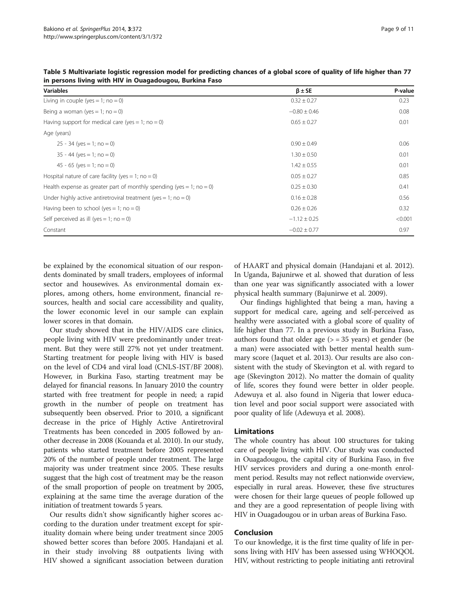| <b>Variables</b>                                                     | $\beta \pm SE$   | P-value |
|----------------------------------------------------------------------|------------------|---------|
| Living in couple (yes = 1; $no = 0$ )                                | $0.32 \pm 0.27$  | 0.23    |
| Being a woman (yes = 1; no = 0)                                      | $-0.80 \pm 0.46$ | 0.08    |
| Having support for medical care (yes = 1; no = 0)                    | $0.65 \pm 0.27$  | 0.01    |
| Age (years)                                                          |                  |         |
| $25 - 34$ (yes = 1; no = 0)                                          | $0.90 \pm 0.49$  | 0.06    |
| $35 - 44$ (yes = 1; no = 0)                                          | $1.30 \pm 0.50$  | 0.01    |
| $45 - 65$ (yes = 1; no = 0)                                          | $1.42 \pm 0.55$  | 0.01    |
| Hospital nature of care facility (yes = 1; no = 0)                   | $0.05 \pm 0.27$  | 0.85    |
| Health expense as greater part of monthly spending (yes = 1; no = 0) | $0.25 \pm 0.30$  | 0.41    |
| Under highly active antiretroviral treatment (yes = 1; no = 0)       | $0.16 \pm 0.28$  | 0.56    |
| Having been to school (yes = 1; no = 0)                              | $0.26 \pm 0.26$  | 0.32    |
| Self perceived as ill (yes = 1; no = 0)                              | $-1.12 \pm 0.25$ | < 0.001 |
| Constant                                                             | $-0.02 \pm 0.77$ | 0.97    |

<span id="page-8-0"></span>Table 5 Multivariate logistic regression model for predicting chances of a global score of quality of life higher than 77 in persons living with HIV in Ouagadougou, Burkina Faso

be explained by the economical situation of our respondents dominated by small traders, employees of informal sector and housewives. As environmental domain explores, among others, home environment, financial resources, health and social care accessibility and quality, the lower economic level in our sample can explain lower scores in that domain.

Our study showed that in the HIV/AIDS care clinics, people living with HIV were predominantly under treatment. But they were still 27% not yet under treatment. Starting treatment for people living with HIV is based on the level of CD4 and viral load (CNLS-IST/BF [2008](#page-9-0)). However, in Burkina Faso, starting treatment may be delayed for financial reasons. In January 2010 the country started with free treatment for people in need; a rapid growth in the number of people on treatment has subsequently been observed. Prior to 2010, a significant decrease in the price of Highly Active Antiretroviral Treatments has been conceded in 2005 followed by another decrease in 2008 (Kouanda et al. [2010\)](#page-9-0). In our study, patients who started treatment before 2005 represented 20% of the number of people under treatment. The large majority was under treatment since 2005. These results suggest that the high cost of treatment may be the reason of the small proportion of people on treatment by 2005, explaining at the same time the average duration of the initiation of treatment towards 5 years.

Our results didn't show significantly higher scores according to the duration under treatment except for spirituality domain where being under treatment since 2005 showed better scores than before 2005. Handajani et al. in their study involving 88 outpatients living with HIV showed a significant association between duration of HAART and physical domain (Handajani et al. [2012](#page-9-0)). In Uganda, Bajunirwe et al. showed that duration of less than one year was significantly associated with a lower physical health summary (Bajunirwe et al. [2009\)](#page-9-0).

Our findings highlighted that being a man, having a support for medical care, ageing and self-perceived as healthy were associated with a global score of quality of life higher than 77. In a previous study in Burkina Faso, authors found that older age  $(>= 35 \text{ years})$  et gender (be a man) were associated with better mental health summary score (Jaquet et al. [2013\)](#page-9-0). Our results are also consistent with the study of Skevington et al. with regard to age (Skevington [2012](#page-9-0)). No matter the domain of quality of life, scores they found were better in older people. Adewuya et al. also found in Nigeria that lower education level and poor social support were associated with poor quality of life (Adewuya et al. [2008](#page-9-0)).

# Limitations

The whole country has about 100 structures for taking care of people living with HIV. Our study was conducted in Ouagadougou, the capital city of Burkina Faso, in five HIV services providers and during a one-month enrolment period. Results may not reflect nationwide overview, especially in rural areas. However, these five structures were chosen for their large queues of people followed up and they are a good representation of people living with HIV in Ouagadougou or in urban areas of Burkina Faso.

# Conclusion

To our knowledge, it is the first time quality of life in persons living with HIV has been assessed using WHOQOL HIV, without restricting to people initiating anti retroviral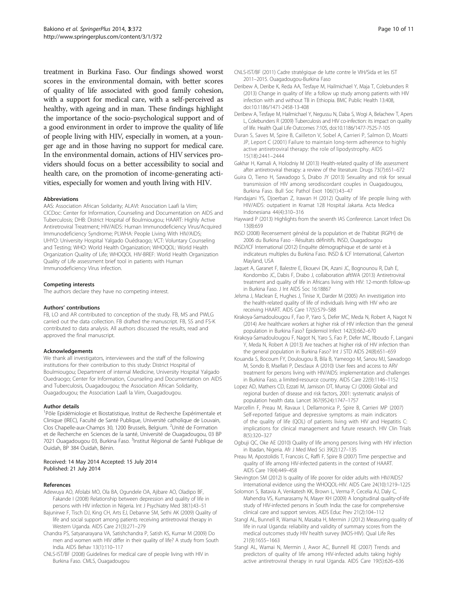<span id="page-9-0"></span>treatment in Burkina Faso. Our findings showed worst scores in the environmental domain, with better scores of quality of life associated with good family cohesion, with a support for medical care, with a self-perceived as healthy, with ageing and in man. These findings highlight the importance of the socio-psychological support and of a good environment in order to improve the quality of life of people living with HIV, especially in women, at a younger age and in those having no support for medical care. In the environmental domain, actions of HIV services providers should focus on a better accessibility to social and health care, on the promotion of income-generating activities, especially for women and youth living with HIV.

#### Abbreviations

AAS: Association African Solidarity; ALAVI: Association Laafi la Viim; CICDoc: Center for Information, Counseling and Documentation on AIDS and Tuberculosis; DHB: District Hospital of Boulmiougou; HAART: Highly Active Antiretroviral Treatment; HIV/AIDS: Human Immunodeficiency Virus/Acquired Immunodeficiency Syndrome; PLWHA: People Living With HIV/AIDS; UHYO: University Hospital Yalgado Ouédraogo; VCT: Voluntary Counseling and Testing; WHO: World Health Organization; WHOQOL: World Health Organization Quality of Life; WHOQOL HIV-BREF: World Health Organization Quality of Life assessment brief tool in patients with Human Immunodeficiency Virus infection.

#### Competing interests

The authors declare they have no competing interest.

#### Authors' contributions

FB, LO and AR contributed to conception of the study. FB, MS and PWLG carried out the data collection. FB drafted the manuscript. FB, SS and FS-K contributed to data analysis. All authors discussed the results, read and approved the final manuscript.

#### Acknowledgements

We thank all investigators, interviewees and the staff of the following institutions for their contribution to this study: District Hospital of Boulmiougou; Department of internal Medicine, University Hospital Yalgado Ouedraogo; Center for Information, Counseling and Documentation on AIDS and Tuberculosis, Ouagadougou; the Association African Solidarity, Ouagadougou; the Association Laafi la Viim, Ouagadougou.

#### Author details

1 Pôle Epidémiologie et Biostatistique, Institut de Recherche Expérimentale et Clinique (IREC), Faculté de Santé Publique, Université catholique de Louvain, Clos Chapelle-aux-Champs 30, 1200 Brussels, Belgium. <sup>2</sup>Unité de Formation et de Recherche en Sciences de la santé, Université de Ouagadougou, 03 BP 7021 Ouagadougou 03, Burkina Faso. <sup>3</sup>Institut Régional de Santé Publique de Ouidah, BP 384 Ouidah, Bénin.

#### Received: 14 May 2014 Accepted: 15 July 2014 Published: 21 July 2014

#### References

- Adewuya AO, Afolabi MO, Ola BA, Ogundele OA, Ajibare AO, Oladipo BF, Fakande I (2008) Relationship between depression and quality of life in persons with HIV infection in Nigeria. Int J Psychiatry Med 38(1):43–51
- Bajunirwe F, Tisch DJ, King CH, Arts EJ, Debanne SM, Sethi AK (2009) Quality of life and social support among patients receiving antiretroviral therapy in Western Uganda. AIDS Care 21(3):271–279
- Chandra PS, Satyanarayana VA, Satishchandra P, Satish KS, Kumar M (2009) Do men and women with HIV differ in their quality of life? A study from South India. AIDS Behav 13(1):110–117
- CNLS-IST/BF (2008) Guidelines for medical care of people living with HIV in Burkina Faso. CMLS, Ouagadougou
- CNLS-IST/BF (2011) Cadre stratégique de lutte contre le VIH/Sida et les IST 2011–2015. Ouagadougou-Burkina Faso
- Deribew A, Deribe K, Reda AA, Tesfaye M, Hailmichael Y, Maja T, Colebunders R (2013) Change in quality of life: a follow up study among patients with HIV infection with and without TB in Ethiopia. BMC Public Health 13:408, doi:10.1186/1471-2458-13-408
- Deribew A, Tesfaye M, Hailmichael Y, Negussu N, Daba S, Wogi A, Belachew T, Apers L, Colebunders R (2009) Tuberculosis and HIV co-infection: its impact on quality of life. Health Qual Life Outcomes 7:105, doi:10.1186/1477-7525-7-105
- Duran S, Saves M, Spire B, Cailleton V, Sobel A, Carrieri P, Salmon D, Moatti JP, Leport C (2001) Failure to maintain long-term adherence to highly active antiretroviral therapy: the role of lipodystrophy. AIDS 15(18):2441–2444
- Gakhar H, Kamali A, Holodniy M (2013) Health-related quality of life assessment after antiretroviral therapy: a review of the literature. Drugs 73(7):651–672
- Guira O, Tieno H, Sawadogo S, Drabo JY (2013) Sexuality and risk for sexual transmission of HIV among serodiscordant couples in Ouagadougou, Burkina Faso. Bull Soc Pathol Exot 106(1):43–47
- Handajani YS, Djoerban Z, Irawan H (2012) Quality of life people living with HIV/AIDS: outpatient in Kramat 128 Hospital Jakarta. Acta Medica Indonesiana 44(4):310–316
- Hayward P (2013) Highlights from the seventh IAS Conference. Lancet Infect Dis 13(8):659
- INSD (2008) Recensement général de la population et de l'habitat (RGPH) de 2006 du Burkina Faso - Résultats définitifs. INSD, Ouagadougou
- INSD/ICF International (2012) Enquête démographique et de santé et à indicateurs multiples du Burkina Faso. INSD & ICF International, Calverton Mayland, USA
- Jaquet A, Garanet F, Balestre E, Ekouevi DK, Azani JC, Bognounou R, Dah E, Kondombo JC, Dabis F, Drabo J, collaboration aftIWA (2013) Antiretroviral treatment and quality of life in Africans living with HIV: 12-month follow-up in Burkina Faso. J Int AIDS Soc 16:18867
- Jelsma J, Maclean E, Hughes J, Tinise X, Darder M (2005) An investigation into the health-related quality of life of individuals living with HIV who are receiving HAART. AIDS Care 17(5):579–588
- Kirakoya-Samadoulougou F, Fao P, Yaro S, Defer MC, Meda N, Robert A, Nagot N (2014) Are healthcare workers at higher risk of HIV infection than the general population in Burkina Faso? Epidemiol Infect 142(3):662–670
- Kirakoya-Samadoulougou F, Nagot N, Yaro S, Fao P, Defer MC, Ilboudo F, Langani Y, Meda N, Robert A (2013) Are teachers at higher risk of HIV infection than the general population in Burkina Faso? Int J STD AIDS 24(8):651–659
- Kouanda S, Bocoum FY, Doulougou B, Bila B, Yameogo M, Sanou MJ, Sawadogo M, Sondo B, Msellati P, Desclaux A (2010) User fees and access to ARV treatment for persons living with HIV/AIDS: implementation and challenges in Burkina Faso, a limited-resource country. AIDS Care 22(9):1146–1152
- Lopez AD, Mathers CD, Ezzati M, Jamison DT, Murray CJ (2006) Global and regional burden of disease and risk factors, 2001: systematic analysis of population health data. Lancet 367(9524):1747–1757
- Marcellin F, Preau M, Ravaux I, Dellamonica P, Spire B, Carrieri MP (2007) Self-reported fatigue and depressive symptoms as main indicators of the quality of life (QOL) of patients living with HIV and Hepatitis C: implications for clinical management and future research. HIV Clin Trials 8(5):320–327
- Ogbuji QC, Oke AE (2010) Quality of life among persons living with HIV infection in Ibadan, Nigeria. Afr J Med Med Sci 39(2):127–135
- Preau M, Apostolidis T, Francois C, Raffi F, Spire B (2007) Time perspective and quality of life among HIV-infected patients in the context of HAART. AIDS Care 19(4):449–458
- Skevington SM (2012) Is quality of life poorer for older adults with HIV/AIDS? International evidence using the WHOQOL-HIV. AIDS Care 24(10):1219–1225
- Solomon S, Batavia A, Venkatesh KK, Brown L, Verma P, Cecelia AJ, Daly C, Mahendra VS, Kumarasamy N, Mayer KH (2009) A longitudinal quality-of-life study of HIV-infected persons in South India: the case for comprehensive clinical care and support services. AIDS Educ Prev 21(2):104–112
- Stangl AL, Bunnell R, Wamai N, Masaba H, Mermin J (2012) Measuring quality of life in rural Uganda: reliability and validity of summary scores from the medical outcomes study HIV health survey (MOS-HIV). Qual Life Res 21(9):1655–1663
- Stangl AL, Wamai N, Mermin J, Awor AC, Bunnell RE (2007) Trends and predictors of quality of life among HIV-infected adults taking highly active antiretroviral therapy in rural Uganda. AIDS Care 19(5):626–636